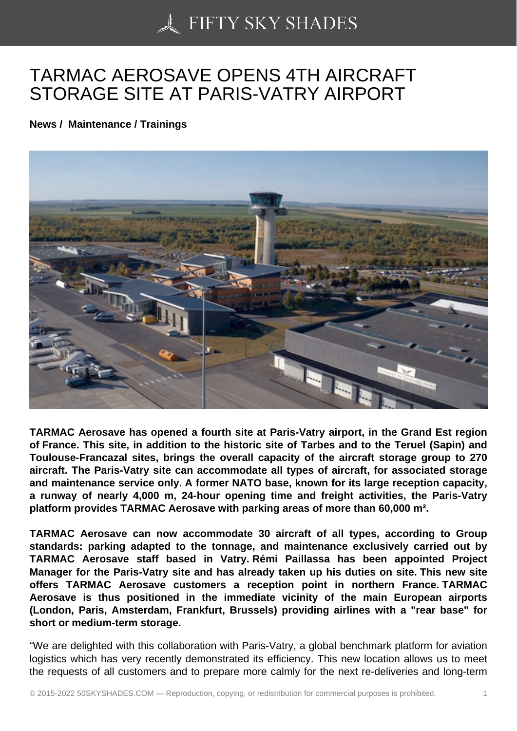## [TARMAC AEROSAVE](https://50skyshades.com) OPENS 4TH AIRCRAFT STORAGE SITE AT PARIS-VATRY AIRPORT

News / Maintenance / Trainings

TARMAC Aerosave has opened a fourth site at Paris-Vatry airport, in the Grand Est region of France. This site, in addition to the historic site of Tarbes and to the Teruel (Sapin) and Toulouse-Francazal sites, brings the overall capacity of the aircraft storage group to 270 aircraft. The Paris-Vatry site can accommodate all types of aircraft, for associated storage and maintenance service only. A former NATO base, known for its large reception capacity, a runway of nearly 4,000 m, 24-hour opening time and freight activities, the Paris-Vatry platform provides TARMAC Aerosave with parking areas of more than 60,000 m².

TARMAC Aerosave can now accommodate 30 aircraft of all types, according to Group standards: parking adapted to the tonnage, and maintenance exclusively carried out by TARMAC Aerosave staff based in Vatry. Rémi Paillassa has been appointed Project Manager for the Paris-Vatry site and has already taken up his duties on site. This new site offers TARMAC Aerosave customers a reception point in northern France. TARMAC Aerosave is thus positioned in the immediate vicinity of the main European airports (London, Paris, Amsterdam, Frankfurt, Brussels) providing airlines with a "rear base" for short or medium-term storage.

"We are delighted with this collaboration with Paris-Vatry, a global benchmark platform for aviation logistics which has very recently demonstrated its efficiency. This new location allows us to meet the requests of all customers and to prepare more calmly for the next re-deliveries and long-term